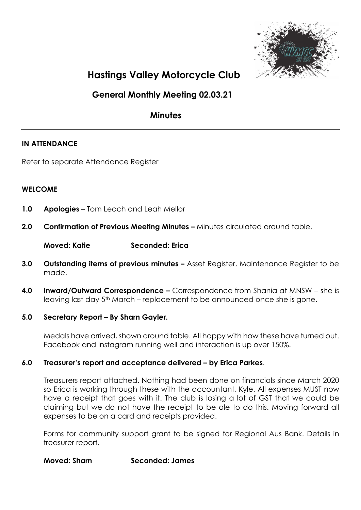

# Hastings Valley Motorcycle Club

General Monthly Meeting 02.03.21

# **Minutes**

# IN ATTENDANCE

Refer to separate Attendance Register

#### WELCOME

- 1.0 Apologies Tom Leach and Leah Mellor
- 2.0 Confirmation of Previous Meeting Minutes Minutes circulated around table.

Moved: Katie Seconded: Erica

- 3.0 Outstanding items of previous minutes Asset Register, Maintenance Register to be made.
- 4.0 Inward/Outward Correspondence Correspondence from Shania at MNSW she is leaving last day 5<sup>th</sup> March – replacement to be announced once she is gone.

#### 5.0 Secretary Report – By Sharn Gayler.

Medals have arrived, shown around table. All happy with how these have turned out. Facebook and Instagram running well and interaction is up over 150%.

#### 6.0 Treasurer's report and acceptance delivered – by Erica Parkes.

Treasurers report attached. Nothing had been done on financials since March 2020 so Erica is working through these with the accountant, Kyle. All expenses MUST now have a receipt that goes with it. The club is losing a lot of GST that we could be claiming but we do not have the receipt to be ale to do this. Moving forward all expenses to be on a card and receipts provided.

Forms for community support grant to be signed for Regional Aus Bank. Details in treasurer report.

Moved: Sharn Seconded: James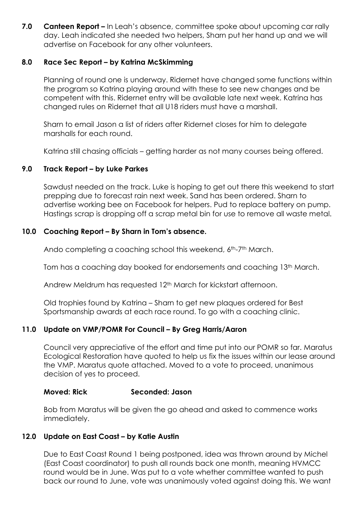7.0 Canteen Report – In Leah's absence, committee spoke about upcoming car rally day. Leah indicated she needed two helpers, Sharn put her hand up and we will advertise on Facebook for any other volunteers.

## 8.0 Race Sec Report – by Katrina McSkimming

Planning of round one is underway. Ridernet have changed some functions within the program so Katrina playing around with these to see new changes and be competent with this. Ridernet entry will be available late next week. Katrina has changed rules on Ridernet that all U18 riders must have a marshall.

Sharn to email Jason a list of riders after Ridernet closes for him to delegate marshalls for each round.

Katrina still chasing officials – getting harder as not many courses being offered.

# 9.0 Track Report – by Luke Parkes

Sawdust needed on the track. Luke is hoping to get out there this weekend to start prepping due to forecast rain next week. Sand has been ordered. Sharn to advertise working bee on Facebook for helpers. Pud to replace battery on pump. Hastings scrap is dropping off a scrap metal bin for use to remove all waste metal.

#### 10.0 Coaching Report – By Sharn in Tom's absence.

Ando completing a coaching school this weekend, 6th-7th March.

Tom has a coaching day booked for endorsements and coaching 13th March.

Andrew Meldrum has requested 12th March for kickstart afternoon.

Old trophies found by Katrina – Sharn to get new plaques ordered for Best Sportsmanship awards at each race round. To go with a coaching clinic.

#### 11.0 Update on VMP/POMR For Council – By Greg Harris/Aaron

Council very appreciative of the effort and time put into our POMR so far. Maratus Ecological Restoration have quoted to help us fix the issues within our lease around the VMP. Maratus quote attached. Moved to a vote to proceed, unanimous decision of yes to proceed.

#### Moved: Rick Seconded: Jason

Bob from Maratus will be given the go ahead and asked to commence works immediately.

#### 12.0 Update on East Coast – by Katie Austin

Due to East Coast Round 1 being postponed, idea was thrown around by Michel (East Coast coordinator) to push all rounds back one month, meaning HVMCC round would be in June. Was put to a vote whether committee wanted to push back our round to June, vote was unanimously voted against doing this. We want